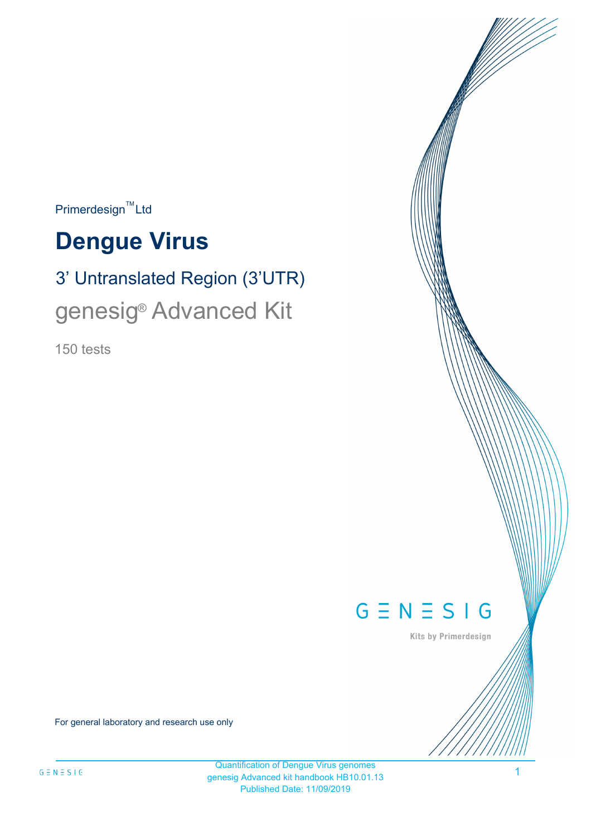$\mathsf{Primerdesign}^{\mathsf{TM}}$ Ltd

# **Dengue Virus**

# 3' Untranslated Region (3'UTR) genesig<sup>®</sup> Advanced Kit

150 tests



Kits by Primerdesign

For general laboratory and research use only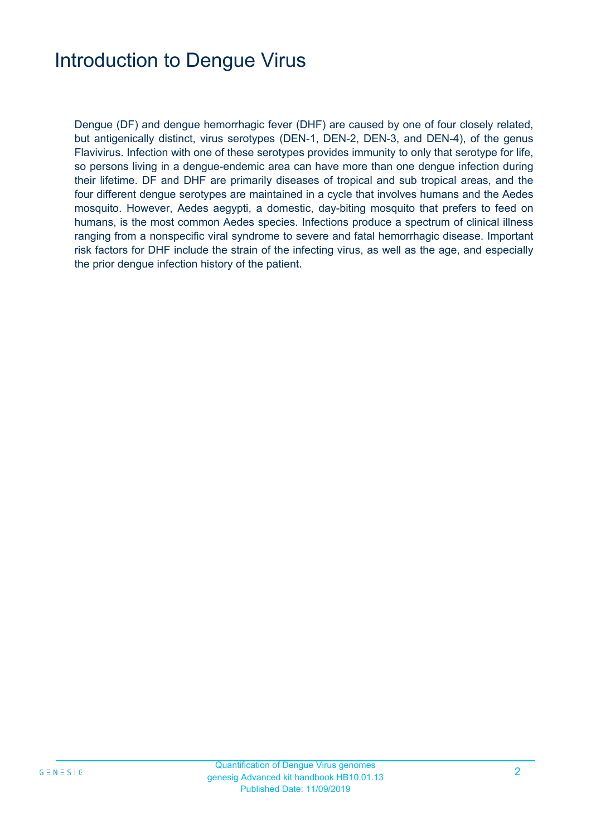## Introduction to Dengue Virus

Dengue (DF) and dengue hemorrhagic fever (DHF) are caused by one of four closely related, but antigenically distinct, virus serotypes (DEN-1, DEN-2, DEN-3, and DEN-4), of the genus Flavivirus. Infection with one of these serotypes provides immunity to only that serotype for life, so persons living in a dengue-endemic area can have more than one dengue infection during their lifetime. DF and DHF are primarily diseases of tropical and sub tropical areas, and the four different dengue serotypes are maintained in a cycle that involves humans and the Aedes mosquito. However, Aedes aegypti, a domestic, day-biting mosquito that prefers to feed on humans, is the most common Aedes species. Infections produce a spectrum of clinical illness ranging from a nonspecific viral syndrome to severe and fatal hemorrhagic disease. Important risk factors for DHF include the strain of the infecting virus, as well as the age, and especially the prior dengue infection history of the patient.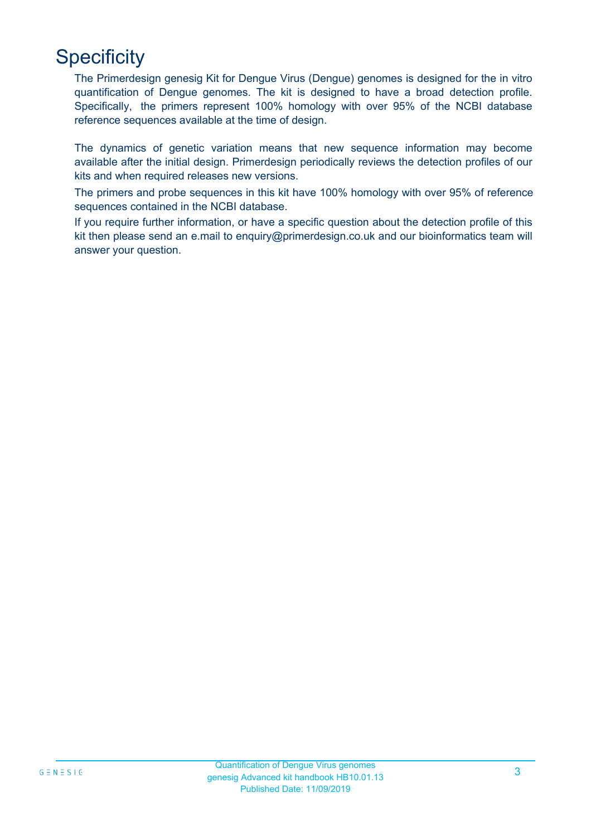# **Specificity**

The Primerdesign genesig Kit for Dengue Virus (Dengue) genomes is designed for the in vitro quantification of Dengue genomes. The kit is designed to have a broad detection profile. Specifically, the primers represent 100% homology with over 95% of the NCBI database reference sequences available at the time of design.

The dynamics of genetic variation means that new sequence information may become available after the initial design. Primerdesign periodically reviews the detection profiles of our kits and when required releases new versions.

The primers and probe sequences in this kit have 100% homology with over 95% of reference sequences contained in the NCBI database.

If you require further information, or have a specific question about the detection profile of this kit then please send an e.mail to enguiry@primerdesign.co.uk and our bioinformatics team will answer your question.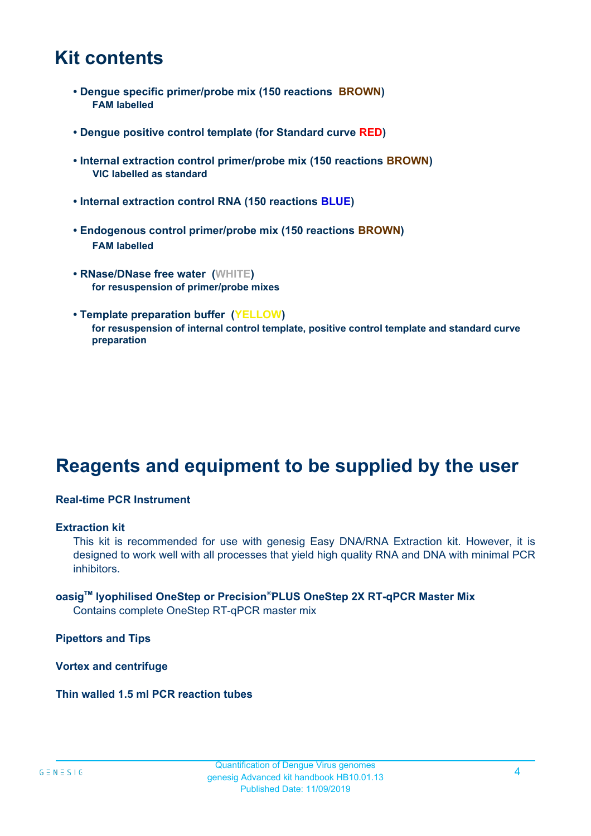### **Kit contents**

- **Dengue specific primer/probe mix (150 reactions BROWN) FAM labelled**
- **Dengue positive control template (for Standard curve RED)**
- **Internal extraction control primer/probe mix (150 reactions BROWN) VIC labelled as standard**
- **Internal extraction control RNA (150 reactions BLUE)**
- **Endogenous control primer/probe mix (150 reactions BROWN) FAM labelled**
- **RNase/DNase free water (WHITE) for resuspension of primer/probe mixes**
- **Template preparation buffer (YELLOW) for resuspension of internal control template, positive control template and standard curve preparation**

### **Reagents and equipment to be supplied by the user**

#### **Real-time PCR Instrument**

#### **Extraction kit**

This kit is recommended for use with genesig Easy DNA/RNA Extraction kit. However, it is designed to work well with all processes that yield high quality RNA and DNA with minimal PCR inhibitors.

### **oasigTM lyophilised OneStep or Precision**®**PLUS OneStep 2X RT-qPCR Master Mix**

Contains complete OneStep RT-qPCR master mix

**Pipettors and Tips**

**Vortex and centrifuge**

#### **Thin walled 1.5 ml PCR reaction tubes**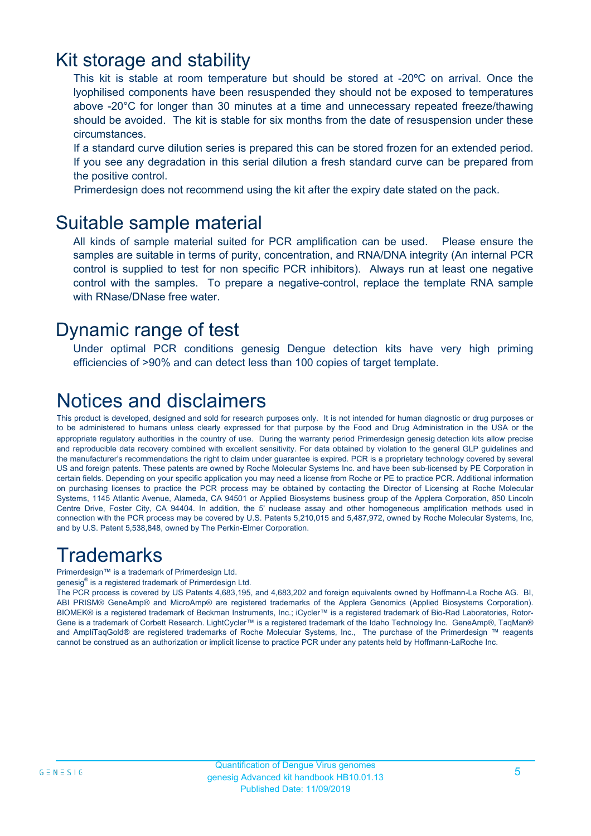### Kit storage and stability

This kit is stable at room temperature but should be stored at -20ºC on arrival. Once the lyophilised components have been resuspended they should not be exposed to temperatures above -20°C for longer than 30 minutes at a time and unnecessary repeated freeze/thawing should be avoided. The kit is stable for six months from the date of resuspension under these circumstances.

If a standard curve dilution series is prepared this can be stored frozen for an extended period. If you see any degradation in this serial dilution a fresh standard curve can be prepared from the positive control.

Primerdesign does not recommend using the kit after the expiry date stated on the pack.

### Suitable sample material

All kinds of sample material suited for PCR amplification can be used. Please ensure the samples are suitable in terms of purity, concentration, and RNA/DNA integrity (An internal PCR control is supplied to test for non specific PCR inhibitors). Always run at least one negative control with the samples. To prepare a negative-control, replace the template RNA sample with RNase/DNase free water.

### Dynamic range of test

Under optimal PCR conditions genesig Dengue detection kits have very high priming efficiencies of >90% and can detect less than 100 copies of target template.

## Notices and disclaimers

This product is developed, designed and sold for research purposes only. It is not intended for human diagnostic or drug purposes or to be administered to humans unless clearly expressed for that purpose by the Food and Drug Administration in the USA or the appropriate regulatory authorities in the country of use. During the warranty period Primerdesign genesig detection kits allow precise and reproducible data recovery combined with excellent sensitivity. For data obtained by violation to the general GLP guidelines and the manufacturer's recommendations the right to claim under guarantee is expired. PCR is a proprietary technology covered by several US and foreign patents. These patents are owned by Roche Molecular Systems Inc. and have been sub-licensed by PE Corporation in certain fields. Depending on your specific application you may need a license from Roche or PE to practice PCR. Additional information on purchasing licenses to practice the PCR process may be obtained by contacting the Director of Licensing at Roche Molecular Systems, 1145 Atlantic Avenue, Alameda, CA 94501 or Applied Biosystems business group of the Applera Corporation, 850 Lincoln Centre Drive, Foster City, CA 94404. In addition, the 5' nuclease assay and other homogeneous amplification methods used in connection with the PCR process may be covered by U.S. Patents 5,210,015 and 5,487,972, owned by Roche Molecular Systems, Inc, and by U.S. Patent 5,538,848, owned by The Perkin-Elmer Corporation.

### **Trademarks**

Primerdesign™ is a trademark of Primerdesign Ltd.

genesig® is a registered trademark of Primerdesign Ltd.

The PCR process is covered by US Patents 4,683,195, and 4,683,202 and foreign equivalents owned by Hoffmann-La Roche AG. BI, ABI PRISM® GeneAmp® and MicroAmp® are registered trademarks of the Applera Genomics (Applied Biosystems Corporation). BIOMEK® is a registered trademark of Beckman Instruments, Inc.; iCycler™ is a registered trademark of Bio-Rad Laboratories, Rotor-Gene is a trademark of Corbett Research. LightCycler™ is a registered trademark of the Idaho Technology Inc. GeneAmp®, TaqMan® and AmpliTaqGold® are registered trademarks of Roche Molecular Systems, Inc., The purchase of the Primerdesign ™ reagents cannot be construed as an authorization or implicit license to practice PCR under any patents held by Hoffmann-LaRoche Inc.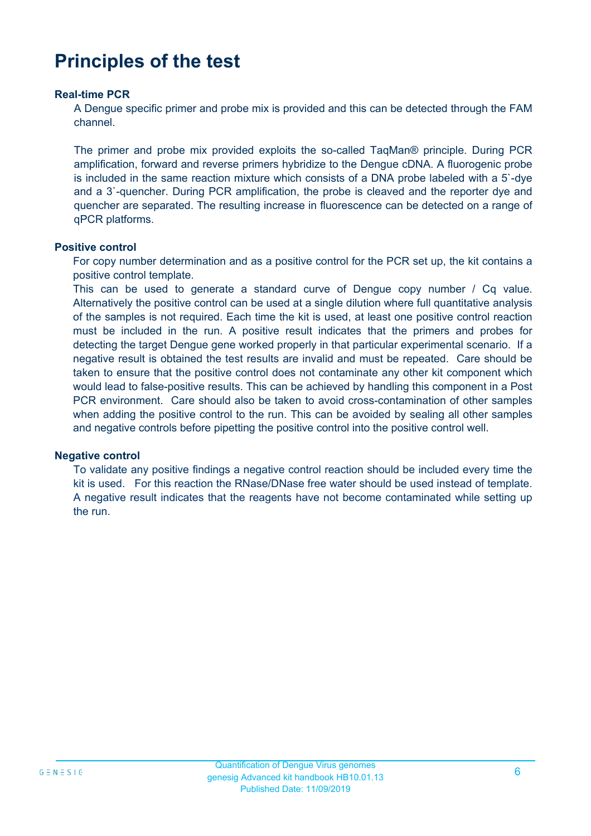## **Principles of the test**

#### **Real-time PCR**

A Dengue specific primer and probe mix is provided and this can be detected through the FAM channel.

The primer and probe mix provided exploits the so-called TaqMan® principle. During PCR amplification, forward and reverse primers hybridize to the Dengue cDNA. A fluorogenic probe is included in the same reaction mixture which consists of a DNA probe labeled with a 5`-dye and a 3`-quencher. During PCR amplification, the probe is cleaved and the reporter dye and quencher are separated. The resulting increase in fluorescence can be detected on a range of qPCR platforms.

#### **Positive control**

For copy number determination and as a positive control for the PCR set up, the kit contains a positive control template.

This can be used to generate a standard curve of Dengue copy number / Cq value. Alternatively the positive control can be used at a single dilution where full quantitative analysis of the samples is not required. Each time the kit is used, at least one positive control reaction must be included in the run. A positive result indicates that the primers and probes for detecting the target Dengue gene worked properly in that particular experimental scenario. If a negative result is obtained the test results are invalid and must be repeated. Care should be taken to ensure that the positive control does not contaminate any other kit component which would lead to false-positive results. This can be achieved by handling this component in a Post PCR environment. Care should also be taken to avoid cross-contamination of other samples when adding the positive control to the run. This can be avoided by sealing all other samples and negative controls before pipetting the positive control into the positive control well.

#### **Negative control**

To validate any positive findings a negative control reaction should be included every time the kit is used. For this reaction the RNase/DNase free water should be used instead of template. A negative result indicates that the reagents have not become contaminated while setting up the run.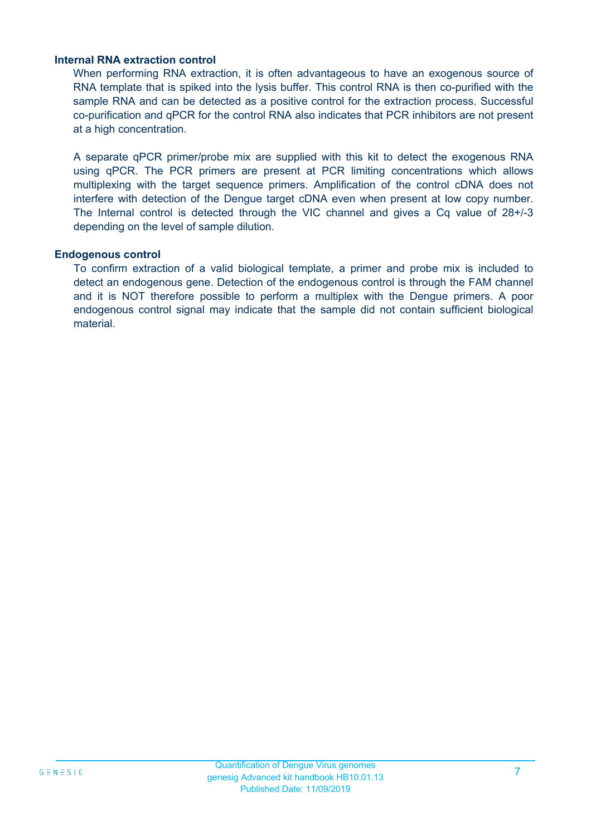#### **Internal RNA extraction control**

When performing RNA extraction, it is often advantageous to have an exogenous source of RNA template that is spiked into the lysis buffer. This control RNA is then co-purified with the sample RNA and can be detected as a positive control for the extraction process. Successful co-purification and qPCR for the control RNA also indicates that PCR inhibitors are not present at a high concentration.

A separate qPCR primer/probe mix are supplied with this kit to detect the exogenous RNA using qPCR. The PCR primers are present at PCR limiting concentrations which allows multiplexing with the target sequence primers. Amplification of the control cDNA does not interfere with detection of the Dengue target cDNA even when present at low copy number. The Internal control is detected through the VIC channel and gives a Cq value of 28+/-3 depending on the level of sample dilution.

#### **Endogenous control**

To confirm extraction of a valid biological template, a primer and probe mix is included to detect an endogenous gene. Detection of the endogenous control is through the FAM channel and it is NOT therefore possible to perform a multiplex with the Dengue primers. A poor endogenous control signal may indicate that the sample did not contain sufficient biological material.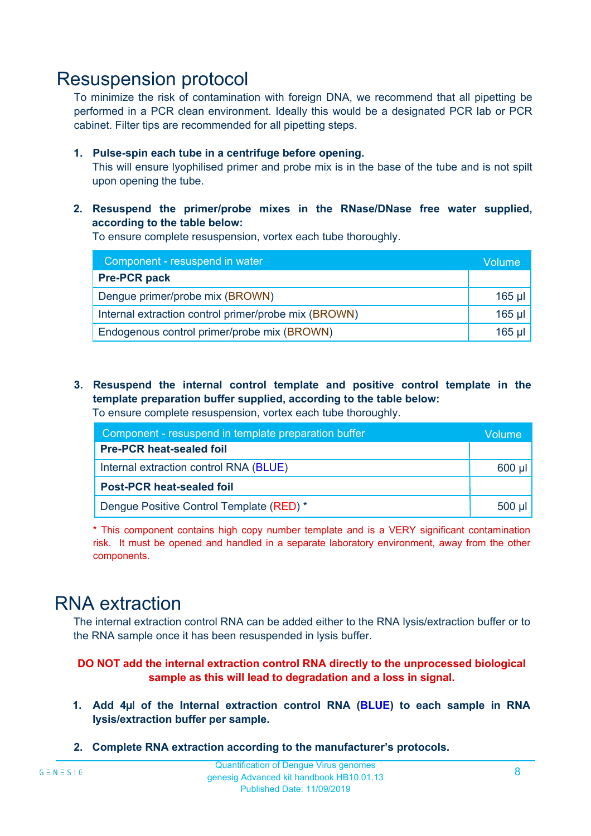### Resuspension protocol

To minimize the risk of contamination with foreign DNA, we recommend that all pipetting be performed in a PCR clean environment. Ideally this would be a designated PCR lab or PCR cabinet. Filter tips are recommended for all pipetting steps.

#### **1. Pulse-spin each tube in a centrifuge before opening.**

This will ensure lyophilised primer and probe mix is in the base of the tube and is not spilt upon opening the tube.

**2. Resuspend the primer/probe mixes in the RNase/DNase free water supplied, according to the table below:**

To ensure complete resuspension, vortex each tube thoroughly.

| Component - resuspend in water                       |          |  |
|------------------------------------------------------|----------|--|
| <b>Pre-PCR pack</b>                                  |          |  |
| Dengue primer/probe mix (BROWN)                      | $165$ µl |  |
| Internal extraction control primer/probe mix (BROWN) |          |  |
| Endogenous control primer/probe mix (BROWN)          |          |  |

**3. Resuspend the internal control template and positive control template in the template preparation buffer supplied, according to the table below:** To ensure complete resuspension, vortex each tube thoroughly.

| Component - resuspend in template preparation buffer |  |  |  |
|------------------------------------------------------|--|--|--|
| <b>Pre-PCR heat-sealed foil</b>                      |  |  |  |
| Internal extraction control RNA (BLUE)               |  |  |  |
| <b>Post-PCR heat-sealed foil</b>                     |  |  |  |
| Dengue Positive Control Template (RED) *             |  |  |  |

\* This component contains high copy number template and is a VERY significant contamination risk. It must be opened and handled in a separate laboratory environment, away from the other components.

### RNA extraction

The internal extraction control RNA can be added either to the RNA lysis/extraction buffer or to the RNA sample once it has been resuspended in lysis buffer.

#### **DO NOT add the internal extraction control RNA directly to the unprocessed biological sample as this will lead to degradation and a loss in signal.**

- **1. Add 4µ**l **of the Internal extraction control RNA (BLUE) to each sample in RNA lysis/extraction buffer per sample.**
- **2. Complete RNA extraction according to the manufacturer's protocols.**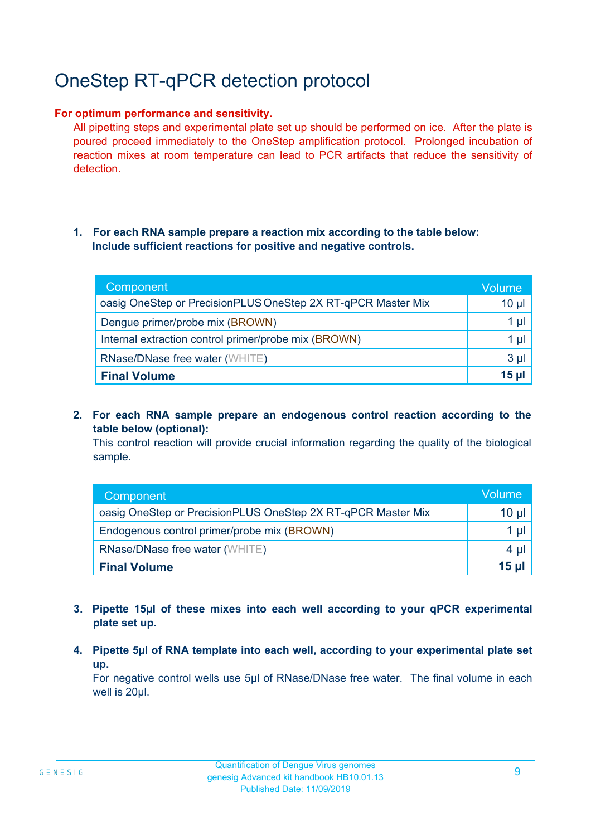# OneStep RT-qPCR detection protocol

#### **For optimum performance and sensitivity.**

All pipetting steps and experimental plate set up should be performed on ice. After the plate is poured proceed immediately to the OneStep amplification protocol. Prolonged incubation of reaction mixes at room temperature can lead to PCR artifacts that reduce the sensitivity of detection.

#### **1. For each RNA sample prepare a reaction mix according to the table below: Include sufficient reactions for positive and negative controls.**

| Component                                                    | <b>Volume</b>   |
|--------------------------------------------------------------|-----------------|
| oasig OneStep or PrecisionPLUS OneStep 2X RT-qPCR Master Mix | $10 \mu$        |
| Dengue primer/probe mix (BROWN)                              | 1 µl            |
| Internal extraction control primer/probe mix (BROWN)         | 1 µl            |
| <b>RNase/DNase free water (WHITE)</b>                        | $3 \mu$         |
| <b>Final Volume</b>                                          | 15 <sub>µ</sub> |

**2. For each RNA sample prepare an endogenous control reaction according to the table below (optional):**

This control reaction will provide crucial information regarding the quality of the biological sample.

| Component                                                    | Volume |
|--------------------------------------------------------------|--------|
| oasig OneStep or PrecisionPLUS OneStep 2X RT-qPCR Master Mix | 10 µl  |
| Endogenous control primer/probe mix (BROWN)                  |        |
| <b>RNase/DNase free water (WHITE)</b>                        | 4 µ    |
| <b>Final Volume</b>                                          | $15$ µ |

- **3. Pipette 15µl of these mixes into each well according to your qPCR experimental plate set up.**
- **4. Pipette 5µl of RNA template into each well, according to your experimental plate set up.**

For negative control wells use 5µl of RNase/DNase free water. The final volume in each well is 20ul.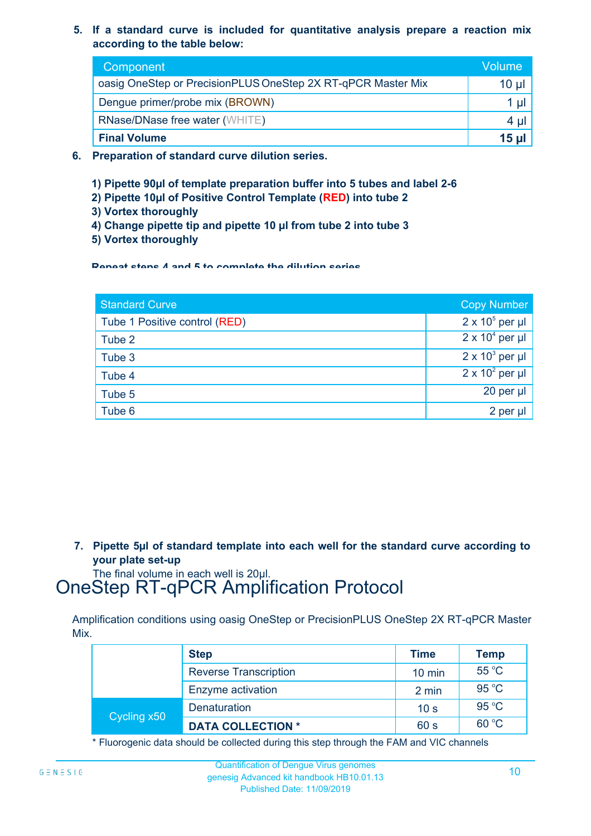**5. If a standard curve is included for quantitative analysis prepare a reaction mix according to the table below:**

| Component                                                    | Volume       |
|--------------------------------------------------------------|--------------|
| oasig OneStep or PrecisionPLUS OneStep 2X RT-qPCR Master Mix | $10 \mu$     |
| Dengue primer/probe mix (BROWN)                              | Ιu           |
| <b>RNase/DNase free water (WHITE)</b>                        | 4 ul         |
| <b>Final Volume</b>                                          | <b>15 ul</b> |

- **6. Preparation of standard curve dilution series.**
	- **1) Pipette 90µl of template preparation buffer into 5 tubes and label 2-6**
	- **2) Pipette 10µl of Positive Control Template (RED) into tube 2**
	- **3) Vortex thoroughly**
	- **4) Change pipette tip and pipette 10 µl from tube 2 into tube 3**
	- **5) Vortex thoroughly**

**Repeat steps 4 and 5 to complete the dilution series**

| <b>Standard Curve</b>         | <b>Copy Number</b>     |
|-------------------------------|------------------------|
| Tube 1 Positive control (RED) | $2 \times 10^5$ per µl |
| Tube 2                        | $2 \times 10^4$ per µl |
| Tube 3                        | $2 \times 10^3$ per µl |
| Tube 4                        | $2 \times 10^2$ per µl |
| Tube 5                        | 20 per µl              |
| Tube 6                        | 2 per µl               |

**7. Pipette 5µl of standard template into each well for the standard curve according to your plate set-up**

The final volume in each well is 20µl.

### OneStep RT-qPCR Amplification Protocol

Amplification conditions using oasig OneStep or PrecisionPLUS OneStep 2X RT-qPCR Master Mix.

|             | <b>Step</b>                  | <b>Time</b>      | <b>Temp</b> |
|-------------|------------------------------|------------------|-------------|
|             | <b>Reverse Transcription</b> | $10 \text{ min}$ | 55 °C       |
|             | Enzyme activation            | 2 min            | 95 °C       |
| Cycling x50 | Denaturation                 | 10 <sub>s</sub>  | 95 °C       |
|             | <b>DATA COLLECTION *</b>     | 60 s             | 60 °C       |

\* Fluorogenic data should be collected during this step through the FAM and VIC channels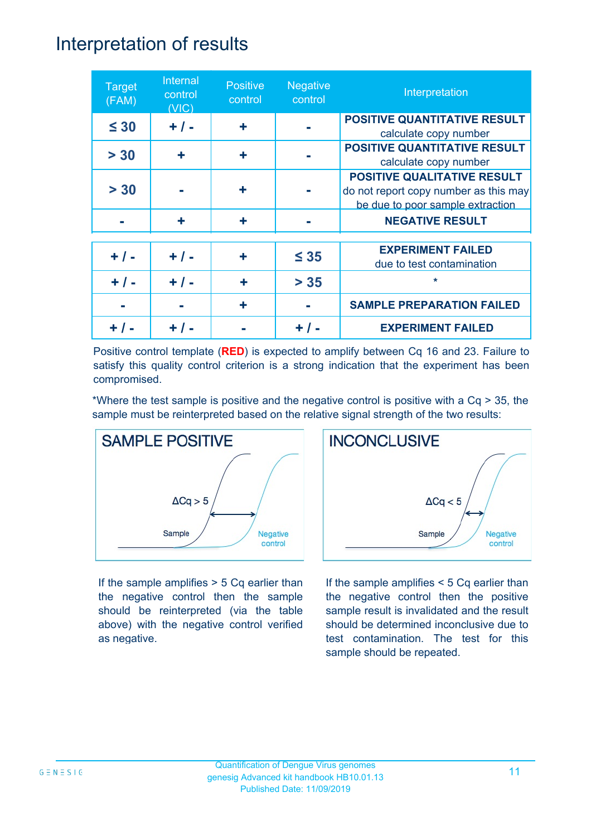### Interpretation of results

| <b>Target</b><br>(FAM) | Internal<br>control<br>(VIC) | <b>Positive</b><br>control | <b>Negative</b><br>control | Interpretation                                                                                                  |
|------------------------|------------------------------|----------------------------|----------------------------|-----------------------------------------------------------------------------------------------------------------|
| $\leq 30$              | $+ / -$                      | ٠                          |                            | <b>POSITIVE QUANTITATIVE RESULT</b><br>calculate copy number                                                    |
| > 30                   | ÷                            | ÷                          |                            | <b>POSITIVE QUANTITATIVE RESULT</b><br>calculate copy number                                                    |
| > 30                   |                              | ٠                          |                            | <b>POSITIVE QUALITATIVE RESULT</b><br>do not report copy number as this may<br>be due to poor sample extraction |
|                        | ÷                            | ٠                          |                            | <b>NEGATIVE RESULT</b>                                                                                          |
| $+ 1 -$                | $+ / -$                      | ٠                          | $\leq 35$                  | <b>EXPERIMENT FAILED</b><br>due to test contamination                                                           |
| $+ 1 -$                | $+ 1 -$                      | ÷                          | $> 35$                     | $\star$                                                                                                         |
|                        |                              | ٠                          |                            | <b>SAMPLE PREPARATION FAILED</b>                                                                                |
|                        |                              |                            |                            | <b>EXPERIMENT FAILED</b>                                                                                        |

Positive control template (**RED**) is expected to amplify between Cq 16 and 23. Failure to satisfy this quality control criterion is a strong indication that the experiment has been compromised.

\*Where the test sample is positive and the negative control is positive with a Cq > 35, the sample must be reinterpreted based on the relative signal strength of the two results:



If the sample amplifies > 5 Cq earlier than the negative control then the sample should be reinterpreted (via the table above) with the negative control verified as negative.



If the sample amplifies < 5 Cq earlier than the negative control then the positive sample result is invalidated and the result should be determined inconclusive due to test contamination. The test for this sample should be repeated.